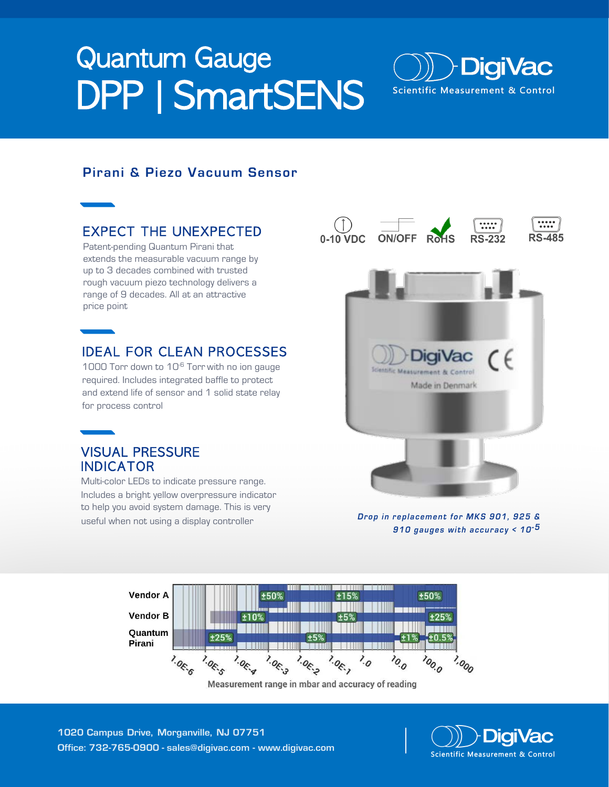# Quantum Gauge DPP | SmartSENS



## Pirani & Piezo Vacuum Sensor

## EXPECT THE UNEXPECTED

Patent-pending Quantum Pirani that extends the measurable vacuum range by up to 3 decades combined with trusted rough vacuum piezo technology delivers a range of 9 decades. All at an attractive price point

## IDEAL FOR CLEAN PROCESSES

1000 Torr down to 10-6 Torr with no ion gauge required. Includes integrated baffle to protect and extend life of sensor and 1 solid state relay for process control

## VISUAL PRESSURE INDICATOR

Multi-color LEDs to indicate pressure range. Includes a bright yellow overpressure indicator to help you avoid system damage. This is very useful when not using a display controller



Drop in replacement for MKS 901, 925 & 910 gauges with accuracy  $< 10^{-5}$ 



Measurement range in mbar and accuracy of reading

1020 Campus Drive, Morganville, NJ 07751 Office: 732-765-0900 - sales@digivac.com - www.digivac.com